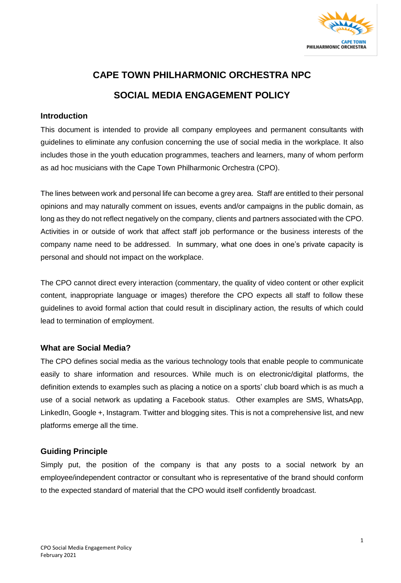

# **CAPE TOWN PHILHARMONIC ORCHESTRA NPC SOCIAL MEDIA ENGAGEMENT POLICY**

#### **Introduction**

This document is intended to provide all company employees and permanent consultants with guidelines to eliminate any confusion concerning the use of social media in the workplace. It also includes those in the youth education programmes, teachers and learners, many of whom perform as ad hoc musicians with the Cape Town Philharmonic Orchestra (CPO).

The lines between work and personal life can become a grey area. Staff are entitled to their personal opinions and may naturally comment on issues, events and/or campaigns in the public domain, as long as they do not reflect negatively on the company, clients and partners associated with the CPO. Activities in or outside of work that affect staff job performance or the business interests of the company name need to be addressed. In summary, what one does in one's private capacity is personal and should not impact on the workplace.

The CPO cannot direct every interaction (commentary, the quality of video content or other explicit content, inappropriate language or images) therefore the CPO expects all staff to follow these guidelines to avoid formal action that could result in disciplinary action, the results of which could lead to termination of employment.

## **What are Social Media?**

The CPO defines social media as the various technology tools that enable people to communicate easily to share information and resources. While much is on electronic/digital platforms, the definition extends to examples such as placing a notice on a sports' club board which is as much a use of a social network as updating a Facebook status. Other examples are SMS, WhatsApp, LinkedIn, Google +, Instagram. Twitter and blogging sites. This is not a comprehensive list, and new platforms emerge all the time.

## **Guiding Principle**

Simply put, the position of the company is that any posts to a social network by an employee/independent contractor or consultant who is representative of the brand should conform to the expected standard of material that the CPO would itself confidently broadcast.